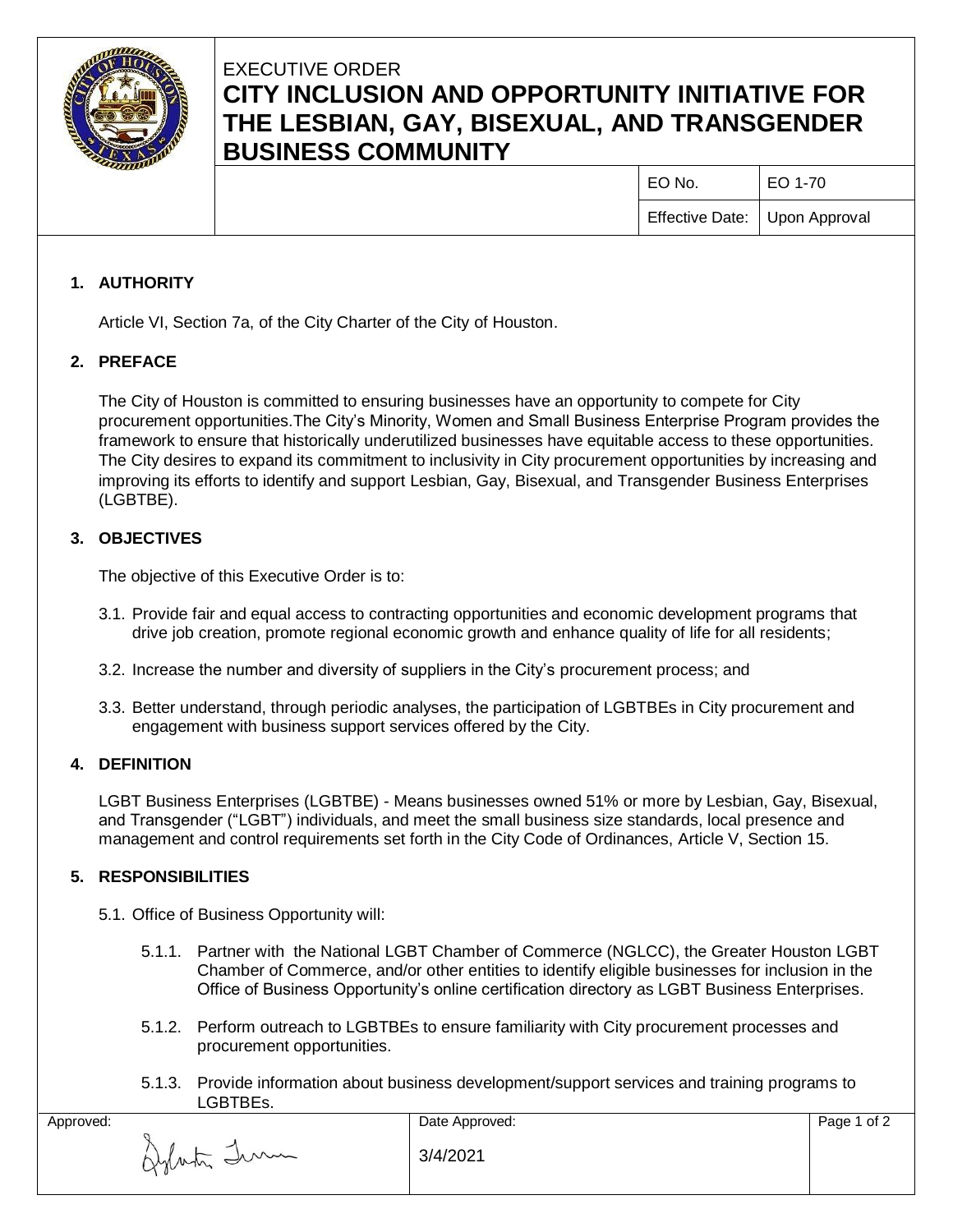

# EXECUTIVE ORDER **CITY INCLUSION AND OPPORTUNITY INITIATIVE FOR THE LESBIAN, GAY, BISEXUAL, AND TRANSGENDER BUSINESS COMMUNITY**

EO No. EO 1-70

Effective Date: Upon Approval

## **1. AUTHORITY**

Article VI, Section 7a, of the City Charter of the City of Houston.

## **2. PREFACE**

The City of Houston is committed to ensuring businesses have an opportunity to compete for City procurement opportunities.The City's Minority, Women and Small Business Enterprise Program provides the framework to ensure that historically underutilized businesses have equitable access to these opportunities. The City desires to expand its commitment to inclusivity in City procurement opportunities by increasing and improving its efforts to identify and support Lesbian, Gay, Bisexual, and Transgender Business Enterprises (LGBTBE).

## **3. OBJECTIVES**

The objective of this Executive Order is to:

- 3.1. Provide fair and equal access to contracting opportunities and economic development programs that drive job creation, promote regional economic growth and enhance quality of life for all residents;
- 3.2. Increase the number and diversity of suppliers in the City's procurement process; and
- 3.3. Better understand, through periodic analyses, the participation of LGBTBEs in City procurement and engagement with business support services offered by the City.

## **4. DEFINITION**

LGBT Business Enterprises (LGBTBE) - Means businesses owned 51% or more by Lesbian, Gay, Bisexual, and Transgender ("LGBT") individuals, and meet the small business size standards, local presence and management and control requirements set forth in the City Code of Ordinances, Article V, Section 15.

## **5. RESPONSIBILITIES**

- 5.1. Office of Business Opportunity will:
	- 5.1.1. Partner with the National LGBT Chamber of Commerce (NGLCC), the Greater Houston LGBT Chamber of Commerce, and/or other entities to identify eligible businesses for inclusion in the Office of Business Opportunity's online certification directory as LGBT Business Enterprises.
	- 5.1.2. Perform outreach to LGBTBEs to ensure familiarity with City procurement processes and procurement opportunities.
	- 5.1.3. Provide information about business development/support services and training programs to LGBTBEs.

| -------     |                |             |
|-------------|----------------|-------------|
| Approved:   | Date Approved: | Page 1 of 2 |
| Aylasta Imm | 3/4/2021       |             |